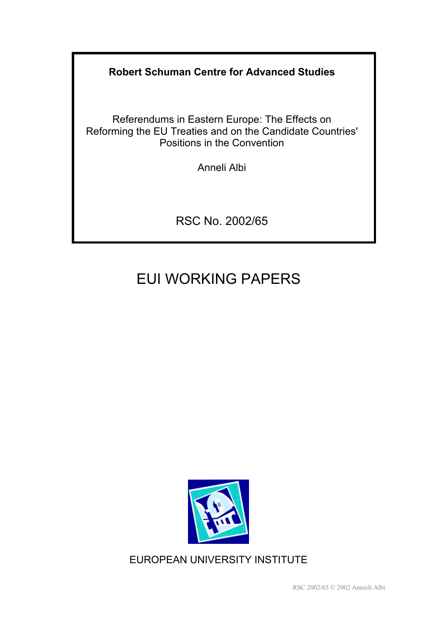**Robert Schuman Centre for Advanced Studies** 

Referendums in Eastern Europe: The Effects on Reforming the EU Treaties and on the Candidate Countries' Positions in the Convention

Anneli Albi

RSC No. 2002/65

# EUI WORKING PAPERS



EUROPEAN UNIVERSITY INSTITUTE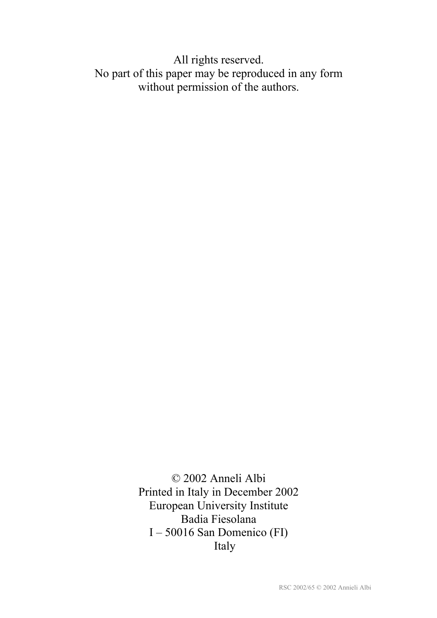All rights reserved. No part of this paper may be reproduced in any form without permission of the authors.

> © 2002 Anneli Albi Printed in Italy in December 2002 European University Institute Badia Fiesolana I – 50016 San Domenico (FI) Italy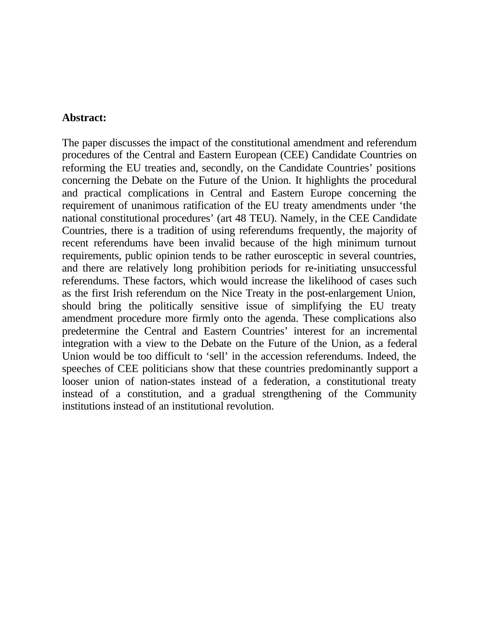#### **Abstract:**

The paper discusses the impact of the constitutional amendment and referendum procedures of the Central and Eastern European (CEE) Candidate Countries on reforming the EU treaties and, secondly, on the Candidate Countries' positions concerning the Debate on the Future of the Union. It highlights the procedural and practical complications in Central and Eastern Europe concerning the requirement of unanimous ratification of the EU treaty amendments under 'the national constitutional procedures' (art 48 TEU). Namely, in the CEE Candidate Countries, there is a tradition of using referendums frequently, the majority of recent referendums have been invalid because of the high minimum turnout requirements, public opinion tends to be rather eurosceptic in several countries, and there are relatively long prohibition periods for re-initiating unsuccessful referendums. These factors, which would increase the likelihood of cases such as the first Irish referendum on the Nice Treaty in the post-enlargement Union, should bring the politically sensitive issue of simplifying the EU treaty amendment procedure more firmly onto the agenda. These complications also predetermine the Central and Eastern Countries' interest for an incremental integration with a view to the Debate on the Future of the Union, as a federal Union would be too difficult to 'sell' in the accession referendums. Indeed, the speeches of CEE politicians show that these countries predominantly support a looser union of nation-states instead of a federation, a constitutional treaty instead of a constitution, and a gradual strengthening of the Community institutions instead of an institutional revolution.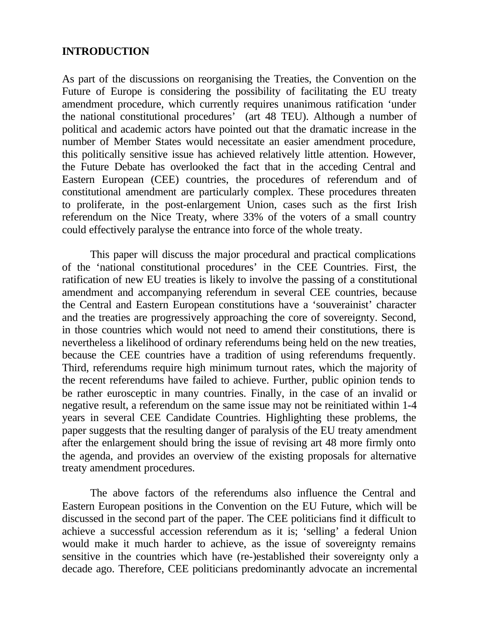#### **INTRODUCTION**

As part of the discussions on reorganising the Treaties, the Convention on the Future of Europe is considering the possibility of facilitating the EU treaty amendment procedure, which currently requires unanimous ratification 'under the national constitutional procedures' (art 48 TEU). Although a number of political and academic actors have pointed out that the dramatic increase in the number of Member States would necessitate an easier amendment procedure, this politically sensitive issue has achieved relatively little attention. However, the Future Debate has overlooked the fact that in the acceding Central and Eastern European (CEE) countries, the procedures of referendum and of constitutional amendment are particularly complex. These procedures threaten to proliferate, in the post-enlargement Union, cases such as the first Irish referendum on the Nice Treaty, where 33% of the voters of a small country could effectively paralyse the entrance into force of the whole treaty.

This paper will discuss the major procedural and practical complications of the 'national constitutional procedures' in the CEE Countries. First, the ratification of new EU treaties is likely to involve the passing of a constitutional amendment and accompanying referendum in several CEE countries, because the Central and Eastern European constitutions have a 'souverainist' character and the treaties are progressively approaching the core of sovereignty. Second, in those countries which would not need to amend their constitutions, there is nevertheless a likelihood of ordinary referendums being held on the new treaties, because the CEE countries have a tradition of using referendums frequently. Third, referendums require high minimum turnout rates, which the majority of the recent referendums have failed to achieve. Further, public opinion tends to be rather eurosceptic in many countries. Finally, in the case of an invalid or negative result, a referendum on the same issue may not be reinitiated within 1-4 years in several CEE Candidate Countries. Highlighting these problems, the paper suggests that the resulting danger of paralysis of the EU treaty amendment after the enlargement should bring the issue of revising art 48 more firmly onto the agenda, and provides an overview of the existing proposals for alternative treaty amendment procedures.

The above factors of the referendums also influence the Central and Eastern European positions in the Convention on the EU Future, which will be discussed in the second part of the paper. The CEE politicians find it difficult to achieve a successful accession referendum as it is; 'selling' a federal Union would make it much harder to achieve, as the issue of sovereignty remains sensitive in the countries which have (re-)established their sovereignty only a decade ago. Therefore, CEE politicians predominantly advocate an incremental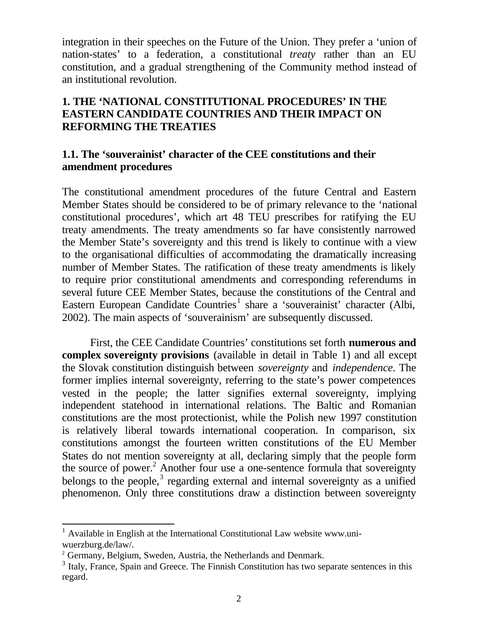integration in their speeches on the Future of the Union. They prefer a 'union of nation-states' to a federation, a constitutional *treaty* rather than an EU constitution, and a gradual strengthening of the Community method instead of an institutional revolution.

# **1. THE 'NATIONAL CONSTITUTIONAL PROCEDURES' IN THE EASTERN CANDIDATE COUNTRIES AND THEIR IMPACT ON REFORMING THE TREATIES**

## **1.1. The 'souverainist' character of the CEE constitutions and their amendment procedures**

The constitutional amendment procedures of the future Central and Eastern Member States should be considered to be of primary relevance to the 'national constitutional procedures', which art 48 TEU prescribes for ratifying the EU treaty amendments. The treaty amendments so far have consistently narrowed the Member State's sovereignty and this trend is likely to continue with a view to the organisational difficulties of accommodating the dramatically increasing number of Member States. The ratification of these treaty amendments is likely to require prior constitutional amendments and corresponding referendums in several future CEE Member States, because the constitutions of the Central and Eastern European Candidate Countries<sup>1</sup> share a 'souverainist' character (Albi, 2002). The main aspects of 'souverainism' are subsequently discussed.

First, the CEE Candidate Countries' constitutions set forth **numerous and complex sovereignty provisions** (available in detail in Table 1) and all except the Slovak constitution distinguish between *sovereignty* and *independence*. The former implies internal sovereignty, referring to the state's power competences vested in the people; the latter signifies external sovereignty, implying independent statehood in international relations. The Baltic and Romanian constitutions are the most protectionist, while the Polish new 1997 constitution is relatively liberal towards international cooperation. In comparison, six constitutions amongst the fourteen written constitutions of the EU Member States do not mention sovereignty at all, declaring simply that the people form the source of power.<sup>2</sup> Another four use a one-sentence formula that sovereignty belongs to the people, $3$  regarding external and internal sovereignty as a unified phenomenon. Only three constitutions draw a distinction between sovereignty

<sup>&</sup>lt;sup>1</sup> Available in English at the International Constitutional Law website www.uniwuerzburg.de/law/.

<sup>&</sup>lt;sup>2</sup> Germany, Belgium, Sweden, Austria, the Netherlands and Denmark.

<sup>&</sup>lt;sup>3</sup> Italy, France, Spain and Greece. The Finnish Constitution has two separate sentences in this regard.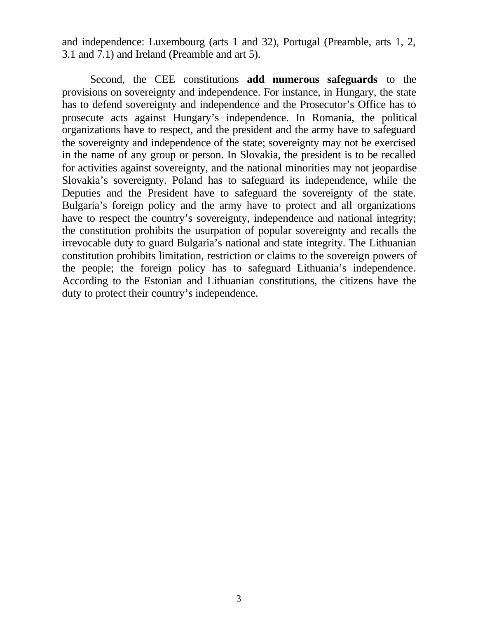and independence: Luxembourg (arts 1 and 32), Portugal (Preamble, arts 1, 2, 3.1 and 7.1) and Ireland (Preamble and art 5).

Second, the CEE constitutions **add numerous safeguards** to the provisions on sovereignty and independence. For instance, in Hungary, the state has to defend sovereignty and independence and the Prosecutor's Office has to prosecute acts against Hungary's independence. In Romania, the political organizations have to respect, and the president and the army have to safeguard the sovereignty and independence of the state; sovereignty may not be exercised in the name of any group or person. In Slovakia, the president is to be recalled for activities against sovereignty, and the national minorities may not jeopardise Slovakia's sovereignty. Poland has to safeguard its independence, while the Deputies and the President have to safeguard the sovereignty of the state. Bulgaria's foreign policy and the army have to protect and all organizations have to respect the country's sovereignty, independence and national integrity; the constitution prohibits the usurpation of popular sovereignty and recalls the irrevocable duty to guard Bulgaria's national and state integrity. The Lithuanian constitution prohibits limitation, restriction or claims to the sovereign powers of the people; the foreign policy has to safeguard Lithuania's independence. According to the Estonian and Lithuanian constitutions, the citizens have the duty to protect their country's independence.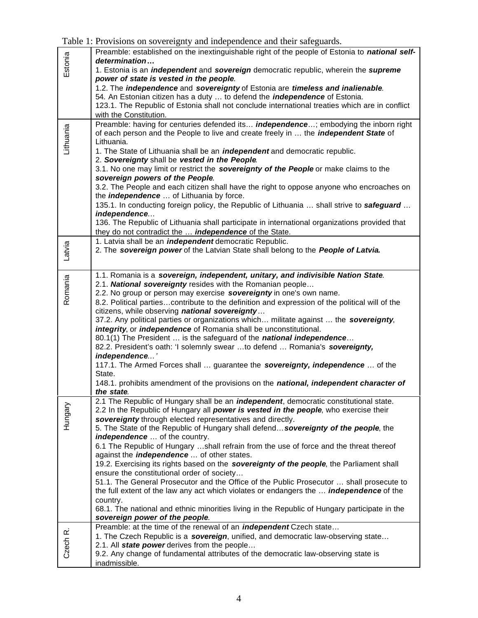| Table 1: Provisions on sovereignty and independence and their safeguards. |  |  |
|---------------------------------------------------------------------------|--|--|
|                                                                           |  |  |

|           | racio 1. I fo Hotono on so referry and maependence and their safeguards.                                 |  |  |  |  |
|-----------|----------------------------------------------------------------------------------------------------------|--|--|--|--|
|           | Preamble: established on the inextinguishable right of the people of Estonia to national self-           |  |  |  |  |
| Estonia   | determination                                                                                            |  |  |  |  |
|           | 1. Estonia is an <i>independent</i> and <i>sovereign</i> democratic republic, wherein the <i>supreme</i> |  |  |  |  |
|           | power of state is vested in the people.                                                                  |  |  |  |  |
|           | 1.2. The independence and sovereignty of Estonia are timeless and inalienable.                           |  |  |  |  |
|           | 54. An Estonian citizen has a duty  to defend the <i>independence</i> of Estonia.                        |  |  |  |  |
|           | 123.1. The Republic of Estonia shall not conclude international treaties which are in conflict           |  |  |  |  |
|           | with the Constitution.                                                                                   |  |  |  |  |
|           | Preamble: having for centuries defended its <i>independence</i> ; embodying the inborn right             |  |  |  |  |
| Lithuania | of each person and the People to live and create freely in  the <i>independent State</i> of              |  |  |  |  |
|           | Lithuania.                                                                                               |  |  |  |  |
|           | 1. The State of Lithuania shall be an <i>independent</i> and democratic republic.                        |  |  |  |  |
|           | 2. Sovereignty shall be vested in the People                                                             |  |  |  |  |
|           | 3.1. No one may limit or restrict the sovereignty of the People or make claims to the                    |  |  |  |  |
|           |                                                                                                          |  |  |  |  |
|           | sovereign powers of the People.                                                                          |  |  |  |  |
|           | 3.2. The People and each citizen shall have the right to oppose anyone who encroaches on                 |  |  |  |  |
|           | the <i>independence</i> of Lithuania by force.                                                           |  |  |  |  |
|           | 135.1. In conducting foreign policy, the Republic of Lithuania  shall strive to safeguard                |  |  |  |  |
|           | independence                                                                                             |  |  |  |  |
|           | 136. The Republic of Lithuania shall participate in international organizations provided that            |  |  |  |  |
|           | they do not contradict the <i>independence</i> of the State.                                             |  |  |  |  |
|           | 1. Latvia shall be an <i>independent</i> democratic Republic.                                            |  |  |  |  |
| Latvia    | 2. The sovereign power of the Latvian State shall belong to the People of Latvia.                        |  |  |  |  |
|           |                                                                                                          |  |  |  |  |
|           |                                                                                                          |  |  |  |  |
|           | 1.1. Romania is a sovereign, independent, unitary, and indivisible Nation State.                         |  |  |  |  |
| Romania   | 2.1. National sovereignty resides with the Romanian people                                               |  |  |  |  |
|           | 2.2. No group or person may exercise sovereignty in one's own name.                                      |  |  |  |  |
|           | 8.2. Political partiescontribute to the definition and expression of the political will of the           |  |  |  |  |
|           | citizens, while observing national sovereignty                                                           |  |  |  |  |
|           | 37.2. Any political parties or organizations which militate against  the sovereignty,                    |  |  |  |  |
|           | integrity, or independence of Romania shall be unconstitutional.                                         |  |  |  |  |
|           | 80.1(1) The President  is the safeguard of the national independence                                     |  |  |  |  |
|           | 82.2. President's oath: 'I solemnly swear to defend  Romania's sovereignty,                              |  |  |  |  |
|           | independence'                                                                                            |  |  |  |  |
|           | 117.1. The Armed Forces shall  guarantee the sovereignty, independence  of the                           |  |  |  |  |
|           | State.                                                                                                   |  |  |  |  |
|           | 148.1. prohibits amendment of the provisions on the national, independent character of                   |  |  |  |  |
|           | the state.                                                                                               |  |  |  |  |
|           | 2.1 The Republic of Hungary shall be an <i>independent</i> , democratic constitutional state.            |  |  |  |  |
|           | 2.2 In the Republic of Hungary all power is vested in the people, who exercise their                     |  |  |  |  |
|           | sovereignty through elected representatives and directly.                                                |  |  |  |  |
| Hungary   | 5. The State of the Republic of Hungary shall defend sovereignty of the people, the                      |  |  |  |  |
|           | independence  of the country.                                                                            |  |  |  |  |
|           | 6.1 The Republic of Hungary shall refrain from the use of force and the threat thereof                   |  |  |  |  |
|           | against the <i>independence</i> of other states.                                                         |  |  |  |  |
|           | 19.2. Exercising its rights based on the sovereignty of the people, the Parliament shall                 |  |  |  |  |
|           | ensure the constitutional order of society                                                               |  |  |  |  |
|           |                                                                                                          |  |  |  |  |
|           | 51.1. The General Prosecutor and the Office of the Public Prosecutor  shall prosecute to                 |  |  |  |  |
|           | the full extent of the law any act which violates or endangers the <b>independence</b> of the            |  |  |  |  |
|           | country.                                                                                                 |  |  |  |  |
|           | 68.1. The national and ethnic minorities living in the Republic of Hungary participate in the            |  |  |  |  |
|           | sovereign power of the people.                                                                           |  |  |  |  |
|           | Preamble: at the time of the renewal of an <i>independent</i> Czech state                                |  |  |  |  |
|           | 1. The Czech Republic is a sovereign, unified, and democratic law-observing state                        |  |  |  |  |
| Czech R.  | 2.1. All state power derives from the people                                                             |  |  |  |  |
|           | 9.2. Any change of fundamental attributes of the democratic law-observing state is                       |  |  |  |  |
|           | inadmissible.                                                                                            |  |  |  |  |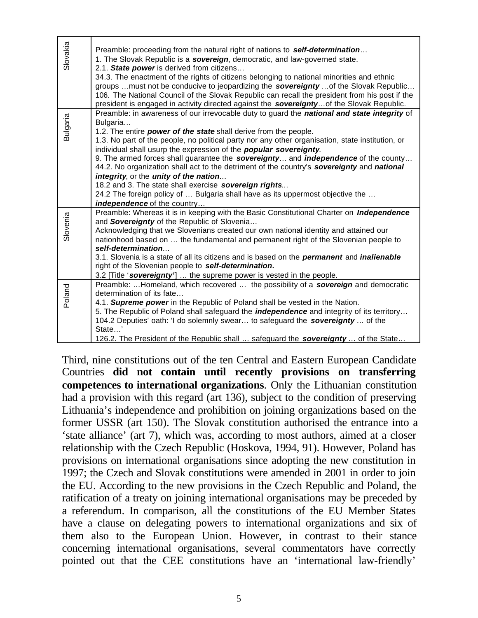| Slovakia        | Preamble: proceeding from the natural right of nations to self-determination<br>1. The Slovak Republic is a sovereign, democratic, and law-governed state.<br>2.1. State power is derived from citizens<br>34.3. The enactment of the rights of citizens belonging to national minorities and ethnic<br>groups must not be conducive to jeopardizing the sovereignty  of the Slovak Republic<br>106. The National Council of the Slovak Republic can recall the president from his post if the<br>president is engaged in activity directed against the sovereignty of the Slovak Republic.                                                                                                                                                                                |
|-----------------|----------------------------------------------------------------------------------------------------------------------------------------------------------------------------------------------------------------------------------------------------------------------------------------------------------------------------------------------------------------------------------------------------------------------------------------------------------------------------------------------------------------------------------------------------------------------------------------------------------------------------------------------------------------------------------------------------------------------------------------------------------------------------|
| <b>Bulgaria</b> | Preamble: in awareness of our irrevocable duty to guard the national and state integrity of<br>Bulgaria<br>1.2. The entire power of the state shall derive from the people.<br>1.3. No part of the people, no political party nor any other organisation, state institution, or<br>individual shall usurp the expression of the <b>popular sovereignty</b> .<br>9. The armed forces shall guarantee the sovereignty and independence of the county<br>44.2. No organization shall act to the detriment of the country's sovereignty and national<br>integrity, or the unity of the nation<br>18.2 and 3. The state shall exercise sovereign rights<br>24.2 The foreign policy of  Bulgaria shall have as its uppermost objective the<br><b>independence</b> of the country |
| Slovenia        | Preamble: Whereas it is in keeping with the Basic Constitutional Charter on <i>Independence</i><br>and Sovereignty of the Republic of Slovenia<br>Acknowledging that we Slovenians created our own national identity and attained our<br>nationhood based on  the fundamental and permanent right of the Slovenian people to<br>self-determination<br>3.1. Slovenia is a state of all its citizens and is based on the <i>permanent</i> and <i>inalienable</i><br>right of the Slovenian people to self-determination.<br>3.2 [Title 'sovereignty']  the supreme power is vested in the people.                                                                                                                                                                            |
| Poland          | Preamble: Homeland, which recovered  the possibility of a sovereign and democratic<br>determination of its fate<br>4.1. Supreme power in the Republic of Poland shall be vested in the Nation.<br>5. The Republic of Poland shall safeguard the <i>independence</i> and integrity of its territory<br>104.2 Deputies' oath: 'I do solemnly swear to safeguard the sovereignty of the<br>State'<br>126.2. The President of the Republic shall  safeguard the sovereignty  of the State                                                                                                                                                                                                                                                                                      |

Third, nine constitutions out of the ten Central and Eastern European Candidate Countries **did not contain until recently provisions on transferring competences to international organizations**. Only the Lithuanian constitution had a provision with this regard (art 136), subject to the condition of preserving Lithuania's independence and prohibition on joining organizations based on the former USSR (art 150). The Slovak constitution authorised the entrance into a 'state alliance' (art 7), which was, according to most authors, aimed at a closer relationship with the Czech Republic (Hoskova, 1994, 91). However, Poland has provisions on international organisations since adopting the new constitution in 1997; the Czech and Slovak constitutions were amended in 2001 in order to join the EU. According to the new provisions in the Czech Republic and Poland, the ratification of a treaty on joining international organisations may be preceded by a referendum. In comparison, all the constitutions of the EU Member States have a clause on delegating powers to international organizations and six of them also to the European Union. However, in contrast to their stance concerning international organisations, several commentators have correctly pointed out that the CEE constitutions have an 'international law-friendly'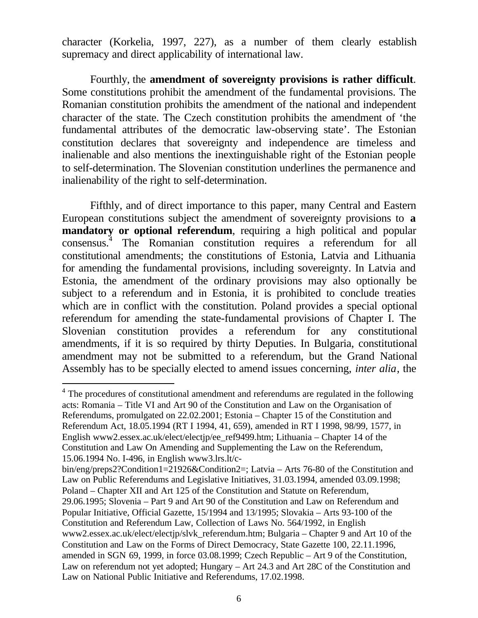character (Korkelia, 1997, 227), as a number of them clearly establish supremacy and direct applicability of international law.

Fourthly, the **amendment of sovereignty provisions is rather difficult**. Some constitutions prohibit the amendment of the fundamental provisions. The Romanian constitution prohibits the amendment of the national and independent character of the state. The Czech constitution prohibits the amendment of 'the fundamental attributes of the democratic law-observing state'. The Estonian constitution declares that sovereignty and independence are timeless and inalienable and also mentions the inextinguishable right of the Estonian people to self-determination. The Slovenian constitution underlines the permanence and inalienability of the right to self-determination.

Fifthly, and of direct importance to this paper, many Central and Eastern European constitutions subject the amendment of sovereignty provisions to **a mandatory or optional referendum**, requiring a high political and popular consensus. 4 The Romanian constitution requires a referendum for all constitutional amendments; the constitutions of Estonia, Latvia and Lithuania for amending the fundamental provisions, including sovereignty. In Latvia and Estonia, the amendment of the ordinary provisions may also optionally be subject to a referendum and in Estonia, it is prohibited to conclude treaties which are in conflict with the constitution. Poland provides a special optional referendum for amending the state-fundamental provisions of Chapter I. The Slovenian constitution provides a referendum for any constitutional amendments, if it is so required by thirty Deputies. In Bulgaria, constitutional amendment may not be submitted to a referendum, but the Grand National Assembly has to be specially elected to amend issues concerning, *inter alia*, the

<sup>&</sup>lt;sup>4</sup> The procedures of constitutional amendment and referendums are regulated in the following acts: Romania – Title VI and Art 90 of the Constitution and Law on the Organisation of Referendums, promulgated on 22.02.2001; Estonia – Chapter 15 of the Constitution and Referendum Act, 18.05.1994 (RT I 1994, 41, 659), amended in RT I 1998, 98/99, 1577, in English www2.essex.ac.uk/elect/electjp/ee\_ref9499.htm; Lithuania – Chapter 14 of the Constitution and Law On Amending and Supplementing the Law on the Referendum, 15.06.1994 No. I-496, in English www3.lrs.lt/c-

bin/eng/preps2?Condition1=21926&Condition2=; Latvia – Arts 76-80 of the Constitution and Law on Public Referendums and Legislative Initiatives, 31.03.1994, amended 03.09.1998; Poland – Chapter XII and Art 125 of the Constitution and Statute on Referendum, 29.06.1995; Slovenia – Part 9 and Art 90 of the Constitution and Law on Referendum and Popular Initiative, Official Gazette, 15/1994 and 13/1995; Slovakia – Arts 93-100 of the Constitution and Referendum Law, Collection of Laws No. 564/1992, in English www2.essex.ac.uk/elect/electjp/slvk\_referendum.htm; Bulgaria – Chapter 9 and Art 10 of the Constitution and Law on the Forms of Direct Democracy, State Gazette 100, 22.11.1996, amended in SGN 69, 1999, in force 03.08.1999; Czech Republic – Art 9 of the Constitution, Law on referendum not yet adopted; Hungary – Art 24.3 and Art 28C of the Constitution and Law on National Public Initiative and Referendums, 17.02.1998.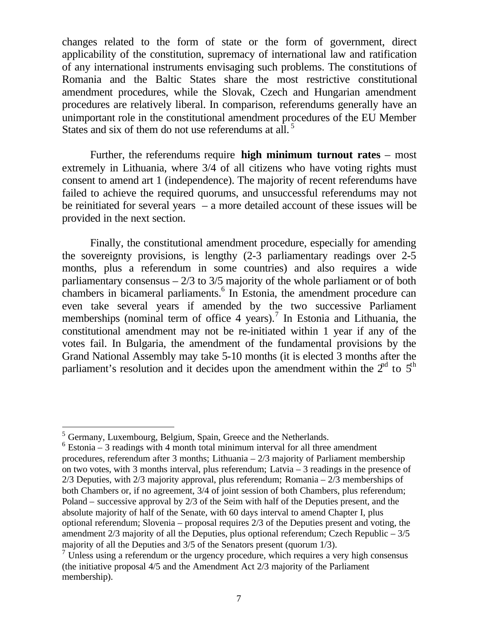changes related to the form of state or the form of government, direct applicability of the constitution, supremacy of international law and ratification of any international instruments envisaging such problems. The constitutions of Romania and the Baltic States share the most restrictive constitutional amendment procedures, while the Slovak, Czech and Hungarian amendment procedures are relatively liberal. In comparison, referendums generally have an unimportant role in the constitutional amendment procedures of the EU Member States and six of them do not use referendums at all.<sup>5</sup>

Further, the referendums require **high minimum turnout rates** – most extremely in Lithuania, where 3/4 of all citizens who have voting rights must consent to amend art 1 (independence). The majority of recent referendums have failed to achieve the required quorums, and unsuccessful referendums may not be reinitiated for several years – a more detailed account of these issues will be provided in the next section.

Finally, the constitutional amendment procedure, especially for amending the sovereignty provisions, is lengthy (2-3 parliamentary readings over 2-5 months, plus a referendum in some countries) and also requires a wide parliamentary consensus  $-2/3$  to  $3/5$  majority of the whole parliament or of both chambers in bicameral parliaments.<sup>6</sup> In Estonia, the amendment procedure can even take several years if amended by the two successive Parliament memberships (nominal term of office 4 years).<sup>7</sup> In Estonia and Lithuania, the constitutional amendment may not be re-initiated within 1 year if any of the votes fail. In Bulgaria, the amendment of the fundamental provisions by the Grand National Assembly may take 5-10 months (it is elected 3 months after the parliament's resolution and it decides upon the amendment within the  $2<sup>nd</sup>$  to  $5<sup>th</sup>$ 

<sup>&</sup>lt;sup>5</sup> Germany, Luxembourg, Belgium, Spain, Greece and the Netherlands.

 $6$  Estonia – 3 readings with 4 month total minimum interval for all three amendment procedures, referendum after 3 months; Lithuania – 2/3 majority of Parliament membership on two votes, with 3 months interval, plus referendum; Latvia – 3 readings in the presence of 2/3 Deputies, with 2/3 majority approval, plus referendum; Romania – 2/3 memberships of both Chambers or, if no agreement, 3/4 of joint session of both Chambers, plus referendum; Poland – successive approval by 2/3 of the Seim with half of the Deputies present, and the absolute majority of half of the Senate, with 60 days interval to amend Chapter I, plus optional referendum; Slovenia – proposal requires 2/3 of the Deputies present and voting, the amendment  $2/3$  majority of all the Deputies, plus optional referendum; Czech Republic  $-3/5$ majority of all the Deputies and 3/5 of the Senators present (quorum 1/3).

 $7 \overline{$  Unless using a referendum or the urgency procedure, which requires a very high consensus (the initiative proposal 4/5 and the Amendment Act 2/3 majority of the Parliament membership).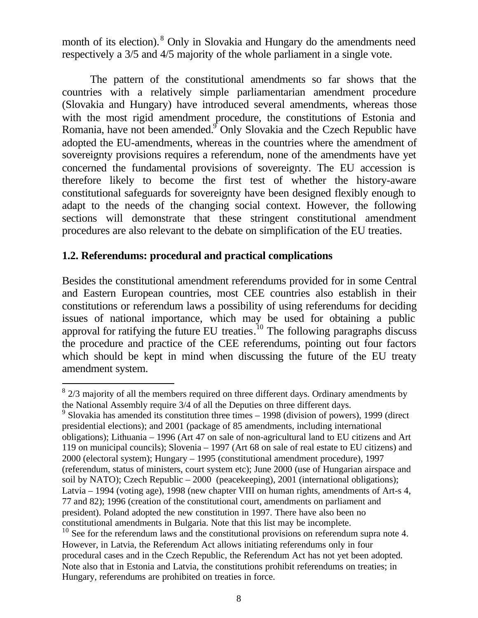month of its election). <sup>8</sup> Only in Slovakia and Hungary do the amendments need respectively a 3/5 and 4/5 majority of the whole parliament in a single vote.

The pattern of the constitutional amendments so far shows that the countries with a relatively simple parliamentarian amendment procedure (Slovakia and Hungary) have introduced several amendments, whereas those with the most rigid amendment procedure, the constitutions of Estonia and Romania, have not been amended.<sup>9</sup> Only Slovakia and the Czech Republic have adopted the EU-amendments, whereas in the countries where the amendment of sovereignty provisions requires a referendum, none of the amendments have yet concerned the fundamental provisions of sovereignty. The EU accession is therefore likely to become the first test of whether the history-aware constitutional safeguards for sovereignty have been designed flexibly enough to adapt to the needs of the changing social context. However, the following sections will demonstrate that these stringent constitutional amendment procedures are also relevant to the debate on simplification of the EU treaties.

## **1.2. Referendums: procedural and practical complications**

 $\overline{a}$ 

Besides the constitutional amendment referendums provided for in some Central and Eastern European countries, most CEE countries also establish in their constitutions or referendum laws a possibility of using referendums for deciding issues of national importance, which may be used for obtaining a public approval for ratifying the future EU treaties.<sup>10</sup> The following paragraphs discuss the procedure and practice of the CEE referendums, pointing out four factors which should be kept in mind when discussing the future of the EU treaty amendment system.

 $8\,2/3$  majority of all the members required on three different days. Ordinary amendments by the National Assembly require 3/4 of all the Deputies on three different days.

 $9$  Slovakia has amended its constitution three times  $-1998$  (division of powers), 1999 (direct presidential elections); and 2001 (package of 85 amendments, including international obligations); Lithuania – 1996 (Art 47 on sale of non-agricultural land to EU citizens and Art 119 on municipal councils); Slovenia – 1997 (Art 68 on sale of real estate to EU citizens) and 2000 (electoral system); Hungary – 1995 (constitutional amendment procedure), 1997 (referendum, status of ministers, court system etc); June 2000 (use of Hungarian airspace and soil by NATO); Czech Republic – 2000 (peacekeeping), 2001 (international obligations); Latvia – 1994 (voting age), 1998 (new chapter VIII on human rights, amendments of Art-s 4, 77 and 82); 1996 (creation of the constitutional court, amendments on parliament and president). Poland adopted the new constitution in 1997. There have also been no constitutional amendments in Bulgaria. Note that this list may be incomplete.

<sup>&</sup>lt;sup>10</sup> See for the referendum laws and the constitutional provisions on referendum supra note 4. However, in Latvia, the Referendum Act allows initiating referendums only in four procedural cases and in the Czech Republic, the Referendum Act has not yet been adopted. Note also that in Estonia and Latvia, the constitutions prohibit referendums on treaties; in Hungary, referendums are prohibited on treaties in force.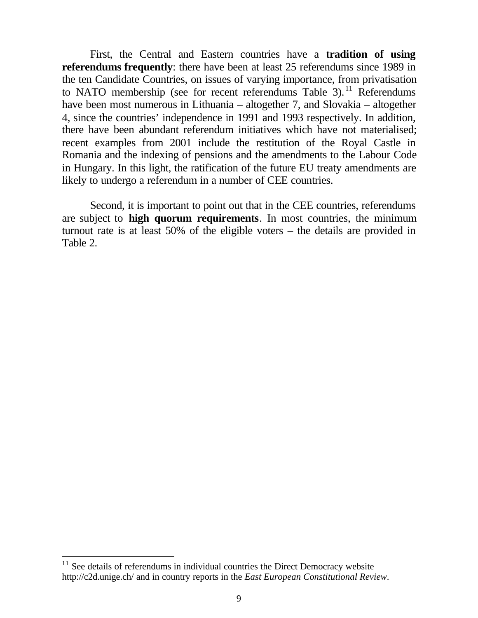First, the Central and Eastern countries have a **tradition of using referendums frequently**: there have been at least 25 referendums since 1989 in the ten Candidate Countries, on issues of varying importance, from privatisation to NATO membership (see for recent referendums Table 3).<sup>11</sup> Referendums have been most numerous in Lithuania – altogether 7, and Slovakia – altogether 4, since the countries' independence in 1991 and 1993 respectively. In addition, there have been abundant referendum initiatives which have not materialised; recent examples from 2001 include the restitution of the Royal Castle in Romania and the indexing of pensions and the amendments to the Labour Code in Hungary. In this light, the ratification of the future EU treaty amendments are likely to undergo a referendum in a number of CEE countries.

Second, it is important to point out that in the CEE countries, referendums are subject to **high quorum requirements**. In most countries, the minimum turnout rate is at least 50% of the eligible voters – the details are provided in Table 2.

 $11$  See details of referendums in individual countries the Direct Democracy website http://c2d.unige.ch/ and in country reports in the *East European Constitutional Review*.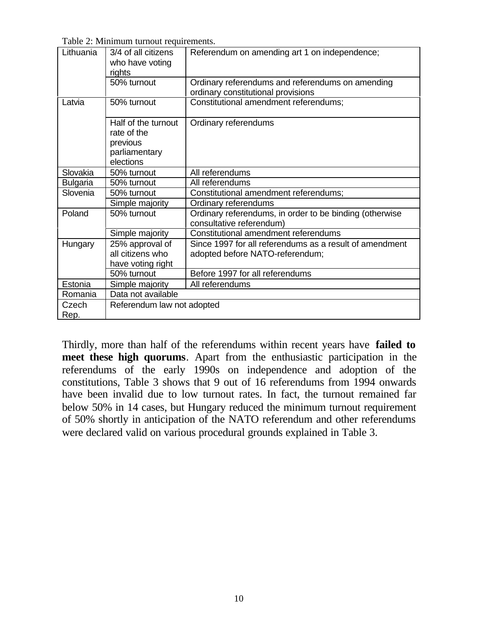Table 2: Minimum turnout requirements.

| Lithuania       | 3/4 of all citizens<br>who have voting<br>rights                             | Referendum on amending art 1 on independence;                                              |  |
|-----------------|------------------------------------------------------------------------------|--------------------------------------------------------------------------------------------|--|
|                 | 50% turnout                                                                  | Ordinary referendums and referendums on amending<br>ordinary constitutional provisions     |  |
| Latvia          | 50% turnout                                                                  | Constitutional amendment referendums;                                                      |  |
|                 | Half of the turnout<br>rate of the<br>previous<br>parliamentary<br>elections | Ordinary referendums                                                                       |  |
| Slovakia        | 50% turnout                                                                  | All referendums                                                                            |  |
| <b>Bulgaria</b> | 50% turnout                                                                  | All referendums                                                                            |  |
| Slovenia        | 50% turnout                                                                  | Constitutional amendment referendums;                                                      |  |
|                 | Simple majority                                                              | Ordinary referendums                                                                       |  |
| Poland          | 50% turnout                                                                  | Ordinary referendums, in order to be binding (otherwise<br>consultative referendum)        |  |
|                 | Simple majority                                                              | Constitutional amendment referendums                                                       |  |
| Hungary         | 25% approval of<br>all citizens who<br>have voting right                     | Since 1997 for all referendums as a result of amendment<br>adopted before NATO-referendum; |  |
|                 | 50% turnout                                                                  | Before 1997 for all referendums                                                            |  |
| Estonia         | Simple majority                                                              | All referendums                                                                            |  |
| Romania         | Data not available                                                           |                                                                                            |  |
| Czech<br>Rep.   | Referendum law not adopted                                                   |                                                                                            |  |

Thirdly, more than half of the referendums within recent years have **failed to meet these high quorums**. Apart from the enthusiastic participation in the referendums of the early 1990s on independence and adoption of the constitutions, Table 3 shows that 9 out of 16 referendums from 1994 onwards have been invalid due to low turnout rates. In fact, the turnout remained far below 50% in 14 cases, but Hungary reduced the minimum turnout requirement of 50% shortly in anticipation of the NATO referendum and other referendums were declared valid on various procedural grounds explained in Table 3.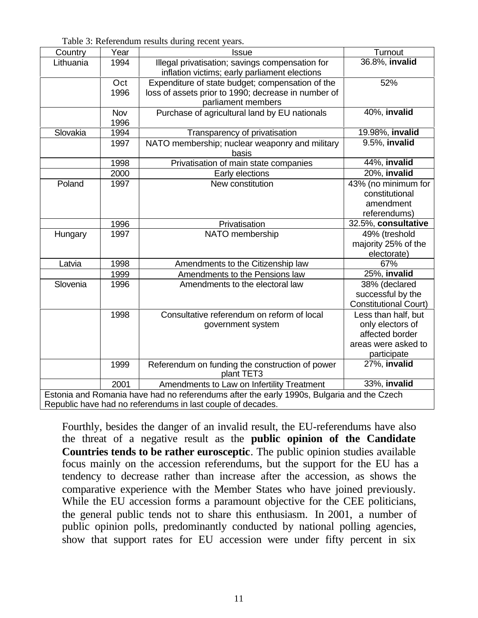Table 3: Referendum results during recent years.

| Country                                                                                   | Year | <b>Issue</b>                                        | Turnout                      |  |  |
|-------------------------------------------------------------------------------------------|------|-----------------------------------------------------|------------------------------|--|--|
| Lithuania                                                                                 | 1994 | Illegal privatisation; savings compensation for     | 36.8%, invalid               |  |  |
|                                                                                           |      | inflation victims; early parliament elections       |                              |  |  |
|                                                                                           | Oct  | Expenditure of state budget; compensation of the    | 52%                          |  |  |
|                                                                                           | 1996 | loss of assets prior to 1990; decrease in number of |                              |  |  |
|                                                                                           |      | parliament members                                  |                              |  |  |
|                                                                                           | Nov  | Purchase of agricultural land by EU nationals       | 40%, invalid                 |  |  |
|                                                                                           | 1996 |                                                     |                              |  |  |
| Slovakia                                                                                  | 1994 | Transparency of privatisation                       | 19.98%, invalid              |  |  |
|                                                                                           | 1997 | NATO membership; nuclear weaponry and military      | 9.5%, invalid                |  |  |
|                                                                                           |      | basis                                               |                              |  |  |
|                                                                                           | 1998 | Privatisation of main state companies               | $\overline{44\%}$ , invalid  |  |  |
|                                                                                           | 2000 | Early elections                                     | 20%, invalid                 |  |  |
| Poland                                                                                    | 1997 | New constitution                                    | 43% (no minimum for          |  |  |
|                                                                                           |      |                                                     | constitutional               |  |  |
|                                                                                           |      |                                                     | amendment                    |  |  |
|                                                                                           |      |                                                     | referendums)                 |  |  |
|                                                                                           | 1996 | Privatisation                                       | 32.5%, consultative          |  |  |
| Hungary                                                                                   | 1997 | NATO membership                                     | 49% (treshold                |  |  |
|                                                                                           |      |                                                     | majority 25% of the          |  |  |
|                                                                                           |      |                                                     | electorate)                  |  |  |
| Latvia                                                                                    | 1998 | Amendments to the Citizenship law                   | 67%                          |  |  |
|                                                                                           | 1999 | Amendments to the Pensions law                      | 25%, invalid                 |  |  |
| Slovenia                                                                                  | 1996 | Amendments to the electoral law                     | 38% (declared                |  |  |
|                                                                                           |      |                                                     | successful by the            |  |  |
|                                                                                           |      |                                                     | <b>Constitutional Court)</b> |  |  |
|                                                                                           | 1998 | Consultative referendum on reform of local          | Less than half, but          |  |  |
|                                                                                           |      | government system                                   | only electors of             |  |  |
|                                                                                           |      |                                                     | affected border              |  |  |
|                                                                                           |      |                                                     | areas were asked to          |  |  |
|                                                                                           |      |                                                     | participate                  |  |  |
|                                                                                           | 1999 | Referendum on funding the construction of power     | $27\%$ , invalid             |  |  |
|                                                                                           |      | plant TET3                                          |                              |  |  |
|                                                                                           | 2001 | Amendments to Law on Infertility Treatment          | 33%, invalid                 |  |  |
| Estonia and Romania have had no referendums after the early 1990s, Bulgaria and the Czech |      |                                                     |                              |  |  |
| Republic have had no referendums in last couple of decades.                               |      |                                                     |                              |  |  |

Fourthly, besides the danger of an invalid result, the EU-referendums have also the threat of a negative result as the **public opinion of the Candidate Countries tends to be rather eurosceptic**. The public opinion studies available focus mainly on the accession referendums, but the support for the EU has a tendency to decrease rather than increase after the accession, as shows the comparative experience with the Member States who have joined previously. While the EU accession forms a paramount objective for the CEE politicians, the general public tends not to share this enthusiasm. In 2001, a number of public opinion polls, predominantly conducted by national polling agencies, show that support rates for EU accession were under fifty percent in six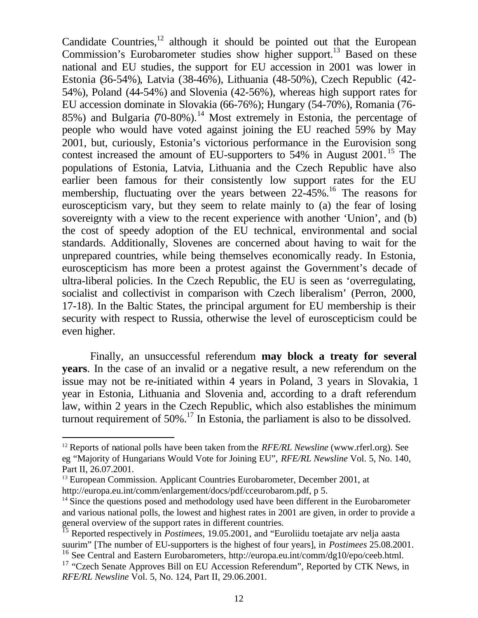Candidate Countries, $12$  although it should be pointed out that the European Commission's Eurobarometer studies show higher support.<sup>13</sup> Based on these national and EU studies, the support for EU accession in 2001 was lower in Estonia (36-54%), Latvia (38-46%), Lithuania (48-50%), Czech Republic (42- 54%), Poland (44-54%) and Slovenia (42-56%), whereas high support rates for EU accession dominate in Slovakia (66-76%); Hungary (54-70%), Romania (76- 85%) and Bulgaria  $(70-80%)$ .<sup>14</sup> Most extremely in Estonia, the percentage of people who would have voted against joining the EU reached 59% by May 2001, but, curiously, Estonia's victorious performance in the Eurovision song contest increased the amount of EU-supporters to  $54\%$  in August 2001.<sup>15</sup> The populations of Estonia, Latvia, Lithuania and the Czech Republic have also earlier been famous for their consistently low support rates for the EU membership, fluctuating over the years between  $22-45\%$ .<sup>16</sup> The reasons for euroscepticism vary, but they seem to relate mainly to (a) the fear of losing sovereignty with a view to the recent experience with another 'Union', and (b) the cost of speedy adoption of the EU technical, environmental and social standards. Additionally, Slovenes are concerned about having to wait for the unprepared countries, while being themselves economically ready. In Estonia, euroscepticism has more been a protest against the Government's decade of ultra-liberal policies. In the Czech Republic, the EU is seen as 'overregulating, socialist and collectivist in comparison with Czech liberalism' (Perron, 2000, 17-18). In the Baltic States, the principal argument for EU membership is their security with respect to Russia, otherwise the level of euroscepticism could be even higher.

Finally, an unsuccessful referendum **may block a treaty for several years**. In the case of an invalid or a negative result, a new referendum on the issue may not be re-initiated within 4 years in Poland, 3 years in Slovakia, 1 year in Estonia, Lithuania and Slovenia and, according to a draft referendum law, within 2 years in the Czech Republic, which also establishes the minimum turnout requirement of  $50\%$ .<sup>17</sup> In Estonia, the parliament is also to be dissolved.

<sup>12</sup> Reports of national polls have been taken from the *RFE/RL Newsline* (www.rferl.org). See eg "Majority of Hungarians Would Vote for Joining EU", *RFE/RL Newsline* Vol. 5, No. 140, Part II, 26.07.2001.

<sup>&</sup>lt;sup>13</sup> European Commission. Applicant Countries Eurobarometer, December 2001, at http://europa.eu.int/comm/enlargement/docs/pdf/cceurobarom.pdf, p 5.

 $14$  Since the questions posed and methodology used have been different in the Eurobarometer and various national polls, the lowest and highest rates in 2001 are given, in order to provide a general overview of the support rates in different countries.

<sup>15</sup> Reported respectively in *Postimees*, 19.05.2001, and "Euroliidu toetajate arv nelja aasta suurim" [The number of EU-supporters is the highest of four years], in *Postimees* 25.08.2001.

<sup>16</sup> See Central and Eastern Eurobarometers, http://europa.eu.int/comm/dg10/epo/ceeb.html.

 $17$  "Czech Senate Approves Bill on EU Accession Referendum", Reported by CTK News, in *RFE/RL Newsline* Vol. 5, No. 124, Part II, 29.06.2001.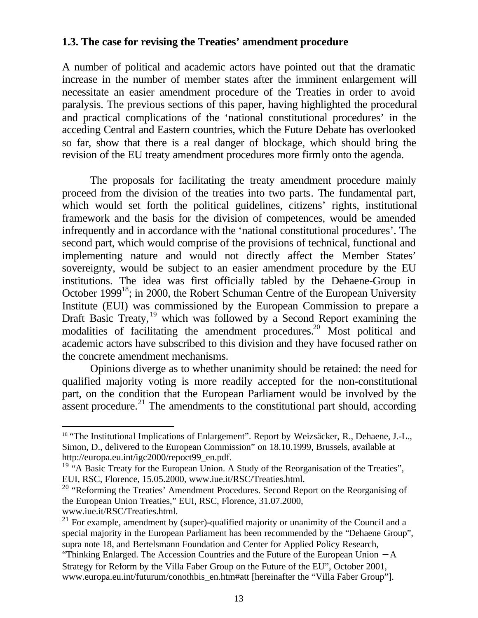## **1.3. The case for revising the Treaties' amendment procedure**

A number of political and academic actors have pointed out that the dramatic increase in the number of member states after the imminent enlargement will necessitate an easier amendment procedure of the Treaties in order to avoid paralysis. The previous sections of this paper, having highlighted the procedural and practical complications of the 'national constitutional procedures' in the acceding Central and Eastern countries, which the Future Debate has overlooked so far, show that there is a real danger of blockage, which should bring the revision of the EU treaty amendment procedures more firmly onto the agenda.

The proposals for facilitating the treaty amendment procedure mainly proceed from the division of the treaties into two parts. The fundamental part, which would set forth the political guidelines, citizens' rights, institutional framework and the basis for the division of competences, would be amended infrequently and in accordance with the 'national constitutional procedures'. The second part, which would comprise of the provisions of technical, functional and implementing nature and would not directly affect the Member States' sovereignty, would be subject to an easier amendment procedure by the EU institutions. The idea was first officially tabled by the Dehaene-Group in October 1999<sup>18</sup>; in 2000, the Robert Schuman Centre of the European University Institute (EUI) was commissioned by the European Commission to prepare a Draft Basic Treaty, <sup>19</sup> which was followed by a Second Report examining the modalities of facilitating the amendment procedures.<sup>20</sup> Most political and academic actors have subscribed to this division and they have focused rather on the concrete amendment mechanisms.

Opinions diverge as to whether unanimity should be retained: the need for qualified majority voting is more readily accepted for the non-constitutional part, on the condition that the European Parliament would be involved by the assent procedure.<sup>21</sup> The amendments to the constitutional part should, according

<sup>&</sup>lt;sup>18</sup> "The Institutional Implications of Enlargement". Report by Weizsäcker, R., Dehaene, J.-L., Simon, D., delivered to the European Commission" on 18.10.1999, Brussels, available at http://europa.eu.int/igc2000/repoct99\_en.pdf.

<sup>&</sup>lt;sup>19</sup> "A Basic Treaty for the European Union. A Study of the Reorganisation of the Treaties", EUI, RSC, Florence, 15.05.2000, www.iue.it/RSC/Treaties.html.

<sup>&</sup>lt;sup>20</sup> "Reforming the Treaties' Amendment Procedures. Second Report on the Reorganising of the European Union Treaties," EUI, RSC, Florence, 31.07.2000, www.iue.it/RSC/Treaties.html.

 $21$  For example, amendment by (super)-qualified majority or unanimity of the Council and a special majority in the European Parliament has been recommended by the "Dehaene Group", supra note 18, and Bertelsmann Foundation and Center for Applied Policy Research,

<sup>&</sup>quot;Thinking Enlarged. The Accession Countries and the Future of the European Union − A Strategy for Reform by the Villa Faber Group on the Future of the EU", October 2001, www.europa.eu.int/futurum/conothbis\_en.htm#att [hereinafter the "Villa Faber Group"].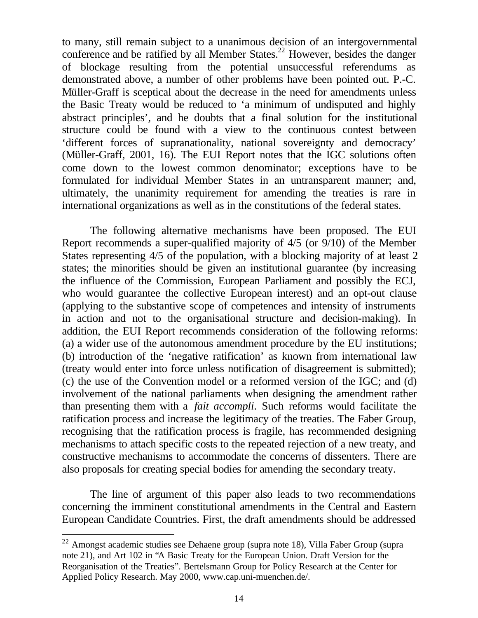to many, still remain subject to a unanimous decision of an intergovernmental conference and be ratified by all Member States.<sup>22</sup> However, besides the danger of blockage resulting from the potential unsuccessful referendums as demonstrated above, a number of other problems have been pointed out. P.-C. Müller-Graff is sceptical about the decrease in the need for amendments unless the Basic Treaty would be reduced to 'a minimum of undisputed and highly abstract principles', and he doubts that a final solution for the institutional structure could be found with a view to the continuous contest between 'different forces of supranationality, national sovereignty and democracy' (Müller-Graff, 2001, 16). The EUI Report notes that the IGC solutions often come down to the lowest common denominator; exceptions have to be formulated for individual Member States in an untransparent manner; and, ultimately, the unanimity requirement for amending the treaties is rare in international organizations as well as in the constitutions of the federal states.

The following alternative mechanisms have been proposed. The EUI Report recommends a super-qualified majority of 4/5 (or 9/10) of the Member States representing 4/5 of the population, with a blocking majority of at least 2 states; the minorities should be given an institutional guarantee (by increasing the influence of the Commission, European Parliament and possibly the ECJ, who would guarantee the collective European interest) and an opt-out clause (applying to the substantive scope of competences and intensity of instruments in action and not to the organisational structure and decision-making). In addition, the EUI Report recommends consideration of the following reforms: (a) a wider use of the autonomous amendment procedure by the EU institutions; (b) introduction of the 'negative ratification' as known from international law (treaty would enter into force unless notification of disagreement is submitted); (c) the use of the Convention model or a reformed version of the IGC; and (d) involvement of the national parliaments when designing the amendment rather than presenting them with a *fait accompli*. Such reforms would facilitate the ratification process and increase the legitimacy of the treaties. The Faber Group, recognising that the ratification process is fragile, has recommended designing mechanisms to attach specific costs to the repeated rejection of a new treaty, and constructive mechanisms to accommodate the concerns of dissenters. There are also proposals for creating special bodies for amending the secondary treaty.

The line of argument of this paper also leads to two recommendations concerning the imminent constitutional amendments in the Central and Eastern European Candidate Countries. First, the draft amendments should be addressed

<sup>&</sup>lt;sup>22</sup> Amongst academic studies see Dehaene group (supra note 18), Villa Faber Group (supra note 21), and Art 102 in "A Basic Treaty for the European Union. Draft Version for the Reorganisation of the Treaties". Bertelsmann Group for Policy Research at the Center for Applied Policy Research. May 2000, www.cap.uni-muenchen.de/.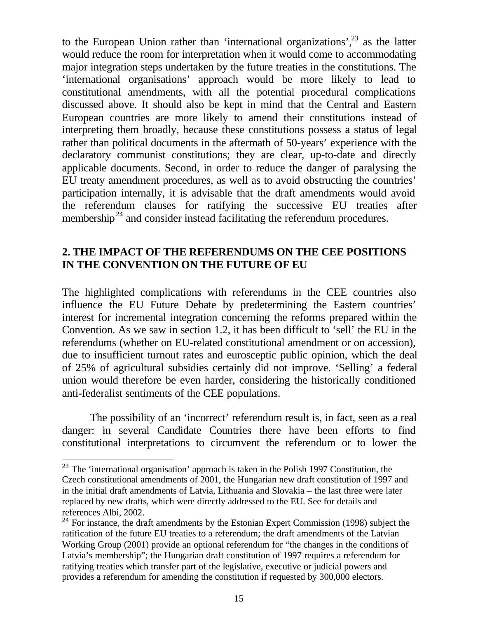to the European Union rather than 'international organizations',  $23$  as the latter would reduce the room for interpretation when it would come to accommodating major integration steps undertaken by the future treaties in the constitutions. The 'international organisations' approach would be more likely to lead to constitutional amendments, with all the potential procedural complications discussed above. It should also be kept in mind that the Central and Eastern European countries are more likely to amend their constitutions instead of interpreting them broadly, because these constitutions possess a status of legal rather than political documents in the aftermath of 50-years' experience with the declaratory communist constitutions; they are clear, up-to-date and directly applicable documents. Second, in order to reduce the danger of paralysing the EU treaty amendment procedures, as well as to avoid obstructing the countries' participation internally, it is advisable that the draft amendments would avoid the referendum clauses for ratifying the successive EU treaties after membership<sup>24</sup> and consider instead facilitating the referendum procedures.

# **2. THE IMPACT OF THE REFERENDUMS ON THE CEE POSITIONS IN THE CONVENTION ON THE FUTURE OF EU**

The highlighted complications with referendums in the CEE countries also influence the EU Future Debate by predetermining the Eastern countries' interest for incremental integration concerning the reforms prepared within the Convention. As we saw in section 1.2, it has been difficult to 'sell' the EU in the referendums (whether on EU-related constitutional amendment or on accession), due to insufficient turnout rates and eurosceptic public opinion, which the deal of 25% of agricultural subsidies certainly did not improve. 'Selling' a federal union would therefore be even harder, considering the historically conditioned anti-federalist sentiments of the CEE populations.

The possibility of an 'incorrect' referendum result is, in fact, seen as a real danger: in several Candidate Countries there have been efforts to find constitutional interpretations to circumvent the referendum or to lower the

 $23$  The 'international organisation' approach is taken in the Polish 1997 Constitution, the Czech constitutional amendments of 2001, the Hungarian new draft constitution of 1997 and in the initial draft amendments of Latvia, Lithuania and Slovakia – the last three were later replaced by new drafts, which were directly addressed to the EU. See for details and references Albi, 2002.

 $24$  For instance, the draft amendments by the Estonian Expert Commission (1998) subject the ratification of the future EU treaties to a referendum; the draft amendments of the Latvian Working Group (2001) provide an optional referendum for "the changes in the conditions of Latvia's membership"; the Hungarian draft constitution of 1997 requires a referendum for ratifying treaties which transfer part of the legislative, executive or judicial powers and provides a referendum for amending the constitution if requested by 300,000 electors.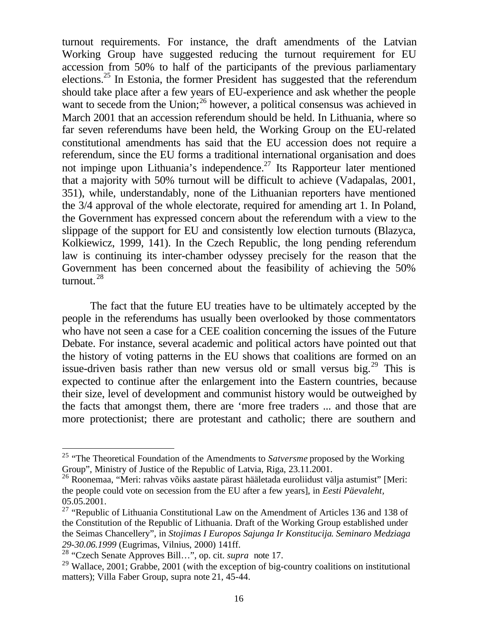turnout requirements. For instance, the draft amendments of the Latvian Working Group have suggested reducing the turnout requirement for EU accession from 50% to half of the participants of the previous parliamentary elections.<sup>25</sup> In Estonia, the former President has suggested that the referendum should take place after a few years of EU-experience and ask whether the people want to secede from the Union; $^{26}$  however, a political consensus was achieved in March 2001 that an accession referendum should be held. In Lithuania, where so far seven referendums have been held, the Working Group on the EU-related constitutional amendments has said that the EU accession does not require a referendum, since the EU forms a traditional international organisation and does not impinge upon Lithuania's independence.<sup>27</sup> Its Rapporteur later mentioned that a majority with 50% turnout will be difficult to achieve (Vadapalas, 2001, 351), while, understandably, none of the Lithuanian reporters have mentioned the 3/4 approval of the whole electorate, required for amending art 1. In Poland, the Government has expressed concern about the referendum with a view to the slippage of the support for EU and consistently low election turnouts (Blazyca, Kolkiewicz, 1999, 141). In the Czech Republic, the long pending referendum law is continuing its inter-chamber odyssey precisely for the reason that the Government has been concerned about the feasibility of achieving the 50% turnout. <sup>28</sup>

The fact that the future EU treaties have to be ultimately accepted by the people in the referendums has usually been overlooked by those commentators who have not seen a case for a CEE coalition concerning the issues of the Future Debate. For instance, several academic and political actors have pointed out that the history of voting patterns in the EU shows that coalitions are formed on an issue-driven basis rather than new versus old or small versus big.<sup>29</sup> This is expected to continue after the enlargement into the Eastern countries, because their size, level of development and communist history would be outweighed by the facts that amongst them, there are 'more free traders ... and those that are more protectionist; there are protestant and catholic; there are southern and

<sup>25</sup> "The Theoretical Foundation of the Amendments to *Satversme* proposed by the Working Group", Ministry of Justice of the Republic of Latvia, Riga, 23.11.2001.

<sup>26</sup> Roonemaa, "Meri: rahvas võiks aastate pärast hääletada euroliidust välja astumist" [Meri: the people could vote on secession from the EU after a few years], in *Eesti Päevaleht,* 05.05.2001.

<sup>&</sup>lt;sup>27</sup> "Republic of Lithuania Constitutional Law on the Amendment of Articles 136 and 138 of the Constitution of the Republic of Lithuania. Draft of the Working Group established under the Seimas Chancellery", in *Stojimas I Europos Sajunga Ir Konstitucija*. *Seminaro Medziaga 29-30.06.1999* (Eugrimas, Vilnius, 2000) 141ff.

<sup>28</sup> "Czech Senate Approves Bill…", op. cit. *supra* note 17.

 $^{29}$  Wallace, 2001; Grabbe, 2001 (with the exception of big-country coalitions on institutional matters); Villa Faber Group, supra note 21, 45-44.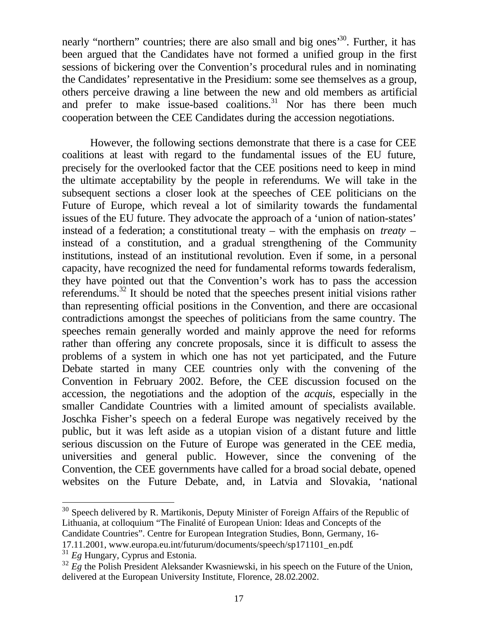nearly "northern" countries; there are also small and big ones<sup>30</sup>. Further, it has been argued that the Candidates have not formed a unified group in the first sessions of bickering over the Convention's procedural rules and in nominating the Candidates' representative in the Presidium: some see themselves as a group, others perceive drawing a line between the new and old members as artificial and prefer to make issue-based coalitions.<sup>31</sup> Nor has there been much cooperation between the CEE Candidates during the accession negotiations.

However, the following sections demonstrate that there is a case for CEE coalitions at least with regard to the fundamental issues of the EU future, precisely for the overlooked factor that the CEE positions need to keep in mind the ultimate acceptability by the people in referendums. We will take in the subsequent sections a closer look at the speeches of CEE politicians on the Future of Europe, which reveal a lot of similarity towards the fundamental issues of the EU future. They advocate the approach of a 'union of nation-states' instead of a federation; a constitutional treaty – with the emphasis on *treaty* – instead of a constitution, and a gradual strengthening of the Community institutions, instead of an institutional revolution. Even if some, in a personal capacity, have recognized the need for fundamental reforms towards federalism, they have pointed out that the Convention's work has to pass the accession referendums.<sup>32</sup> It should be noted that the speeches present initial visions rather than representing official positions in the Convention, and there are occasional contradictions amongst the speeches of politicians from the same country. The speeches remain generally worded and mainly approve the need for reforms rather than offering any concrete proposals, since it is difficult to assess the problems of a system in which one has not yet participated, and the Future Debate started in many CEE countries only with the convening of the Convention in February 2002. Before, the CEE discussion focused on the accession, the negotiations and the adoption of the *acquis*, especially in the smaller Candidate Countries with a limited amount of specialists available. Joschka Fisher's speech on a federal Europe was negatively received by the public, but it was left aside as a utopian vision of a distant future and little serious discussion on the Future of Europe was generated in the CEE media, universities and general public. However, since the convening of the Convention, the CEE governments have called for a broad social debate, opened websites on the Future Debate, and, in Latvia and Slovakia, 'national

 $30$  Speech delivered by R. Martikonis, Deputy Minister of Foreign Affairs of the Republic of Lithuania, at colloquium "The Finalité of European Union: Ideas and Concepts of the Candidate Countries". Centre for European Integration Studies, Bonn, Germany, 16-

17.11.2001, www.europa.eu.int/futurum/documents/speech/sp171101\_en.pdf.

<sup>31</sup> *Eg* Hungary, Cyprus and Estonia.

<sup>&</sup>lt;sup>32</sup> *Eg* the Polish President Aleksander Kwasniewski, in his speech on the Future of the Union, delivered at the European University Institute, Florence, 28.02.2002.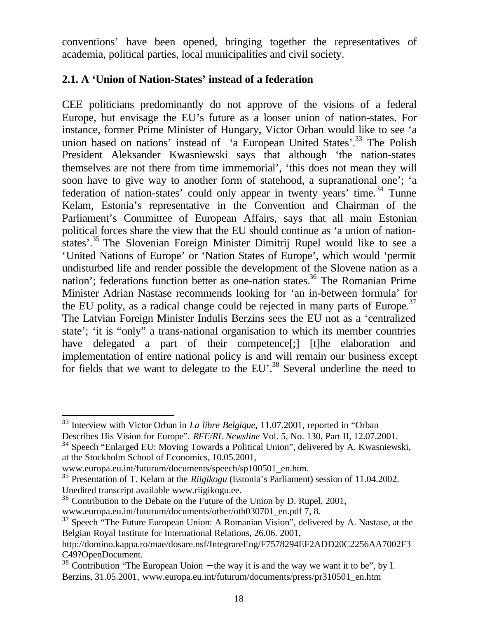conventions' have been opened, bringing together the representatives of academia, political parties, local municipalities and civil society.

## **2.1. A 'Union of Nation-States' instead of a federation**

CEE politicians predominantly do not approve of the visions of a federal Europe, but envisage the EU's future as a looser union of nation-states. For instance, former Prime Minister of Hungary, Victor Orban would like to see 'a union based on nations' instead of 'a European United States'.<sup>33</sup> The Polish President Aleksander Kwasniewski says that although 'the nation-states themselves are not there from time immemorial', 'this does not mean they will soon have to give way to another form of statehood, a supranational one'; 'a federation of nation-states' could only appear in twenty years' time.<sup>34</sup> Tunne Kelam, Estonia's representative in the Convention and Chairman of the Parliament's Committee of European Affairs, says that all main Estonian political forces share the view that the EU should continue as 'a union of nationstates'.<sup>35</sup> The Slovenian Foreign Minister Dimitrij Rupel would like to see a 'United Nations of Europe' or 'Nation States of Europe', which would 'permit undisturbed life and render possible the development of the Slovene nation as a nation'; federations function better as one-nation states.<sup>36</sup> The Romanian Prime Minister Adrian Nastase recommends looking for 'an in-between formula' for the EU polity, as a radical change could be rejected in many parts of Europe.<sup>37</sup> The Latvian Foreign Minister Indulis Berzins sees the EU not as a 'centralized state'; 'it is "only" a trans-national organisation to which its member countries have delegated a part of their competence<sup>[:]</sup> [t]he elaboration and implementation of entire national policy is and will remain our business except for fields that we want to delegate to the EU'.<sup>38</sup> Several underline the need to

<sup>33</sup> Interview with Victor Orban in *La libre Belgique*, 11.07.2001, reported in "Orban Describes His Vision for Europe". *RFE/RL Newsline* Vol. 5, No. 130, Part II, 12.07.2001.

 $34$  Speech "Enlarged EU: Moving Towards a Political Union", delivered by A. Kwasniewski, at the Stockholm School of Economics, 10.05.2001,

www.europa.eu.int/futurum/documents/speech/sp100501\_en.htm.

<sup>35</sup> Presentation of T. Kelam at the *Riigikogu* (Estonia's Parliament) session of 11.04.2002. Unedited transcript available www.riigikogu.ee.

<sup>&</sup>lt;sup>36</sup> Contribution to the Debate on the Future of the Union by D. Rupel, 2001, www.europa.eu.int/futurum/documents/other/oth030701\_en.pdf 7, 8.

 $37$  Speech "The Future European Union: A Romanian Vision", delivered by A. Nastase, at the Belgian Royal Institute for International Relations, 26.06. 2001,

http://domino.kappa.ro/mae/dosare.nsf/IntegrareEng/F7578294EF2ADD20C2256AA7002F3 C49?OpenDocument.

<sup>&</sup>lt;sup>38</sup> Contribution "The European Union – the way it is and the way we want it to be", by I. Berzins, 31.05.2001, www.europa.eu.int/futurum/documents/press/pr310501\_en.htm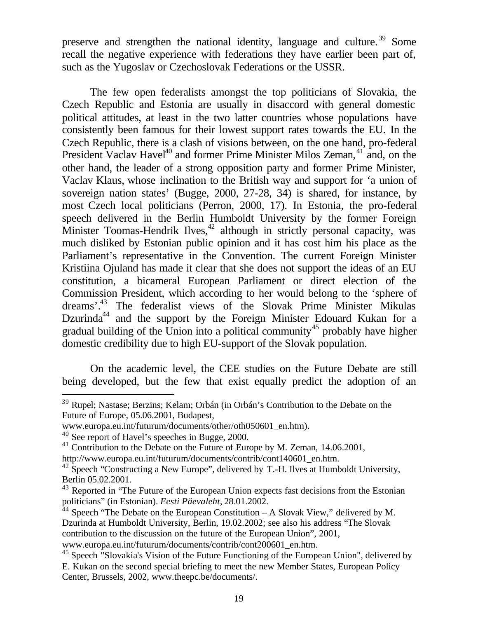preserve and strengthen the national identity, language and culture.<sup>39</sup> Some recall the negative experience with federations they have earlier been part of, such as the Yugoslav or Czechoslovak Federations or the USSR.

The few open federalists amongst the top politicians of Slovakia, the Czech Republic and Estonia are usually in disaccord with general domestic political attitudes, at least in the two latter countries whose populations have consistently been famous for their lowest support rates towards the EU. In the Czech Republic, there is a clash of visions between, on the one hand, pro-federal President Vaclav Havel<sup>40</sup> and former Prime Minister Milos Zeman,  $41$  and, on the other hand, the leader of a strong opposition party and former Prime Minister, Vaclav Klaus, whose inclination to the British way and support for 'a union of sovereign nation states' (Bugge, 2000, 27-28, 34) is shared, for instance, by most Czech local politicians (Perron, 2000, 17). In Estonia, the pro-federal speech delivered in the Berlin Humboldt University by the former Foreign Minister Toomas-Hendrik Ilves, $42$  although in strictly personal capacity, was much disliked by Estonian public opinion and it has cost him his place as the Parliament's representative in the Convention. The current Foreign Minister Kristiina Ojuland has made it clear that she does not support the ideas of an EU constitution, a bicameral European Parliament or direct election of the Commission President, which according to her would belong to the 'sphere of dreams'.<sup>43</sup> The federalist views of the Slovak Prime Minister Mikulas Dzurinda<sup>44</sup> and the support by the Foreign Minister Edouard Kukan for a gradual building of the Union into a political community<sup>45</sup> probably have higher domestic credibility due to high EU-support of the Slovak population.

On the academic level, the CEE studies on the Future Debate are still being developed, but the few that exist equally predict the adoption of an

<sup>39</sup> Rupel; Nastase; Berzins; Kelam; Orbán (in Orbán's Contribution to the Debate on the Future of Europe, 05.06.2001, Budapest,

www.europa.eu.int/futurum/documents/other/oth050601\_en.htm).

<sup>40</sup> See report of Havel's speeches in Bugge, 2000.

<sup>&</sup>lt;sup>41</sup> Contribution to the Debate on the Future of Europe by M. Zeman, 14.06.2001,

http://www.europa.eu.int/futurum/documents/contrib/cont140601\_en.htm.

 $42$  Speech "Constructing a New Europe", delivered by T.-H. Ilves at Humboldt University, Berlin 05.02.2001.

<sup>&</sup>lt;sup>43</sup> Reported in "The Future of the European Union expects fast decisions from the Estonian politicians" (in Estonian). *Eesti Päevaleht,* 28.01.2002.

 $44$  Speech "The Debate on the European Constitution – A Slovak View," delivered by M. Dzurinda at Humboldt University, Berlin, 19.02.2002; see also his address "The Slovak contribution to the discussion on the future of the European Union", 2001,

www.europa.eu.int/futurum/documents/contrib/cont200601\_en.htm.

<sup>&</sup>lt;sup>45</sup> Speech <sup>"</sup>Slovakia's Vision of the Future Functioning of the European Union", delivered by E. Kukan on the second special briefing to meet the new Member States, European Policy Center, Brussels, 2002, www.theepc.be/documents/.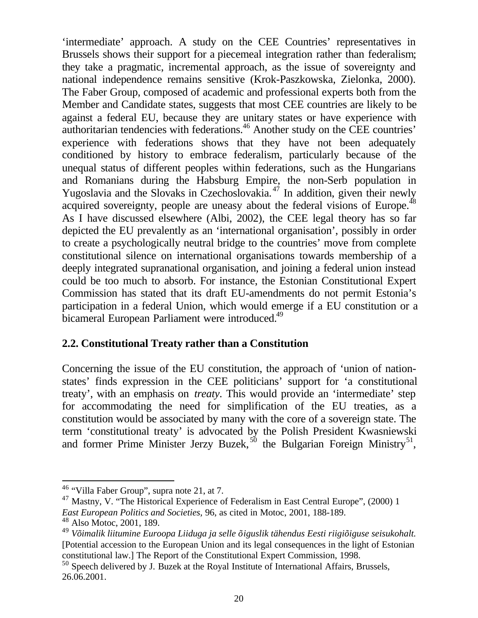'intermediate' approach. A study on the CEE Countries' representatives in Brussels shows their support for a piecemeal integration rather than federalism; they take a pragmatic, incremental approach, as the issue of sovereignty and national independence remains sensitive (Krok-Paszkowska, Zielonka, 2000). The Faber Group, composed of academic and professional experts both from the Member and Candidate states, suggests that most CEE countries are likely to be against a federal EU, because they are unitary states or have experience with authoritarian tendencies with federations.<sup>46</sup> Another study on the CEE countries' experience with federations shows that they have not been adequately conditioned by history to embrace federalism, particularly because of the unequal status of different peoples within federations, such as the Hungarians and Romanians during the Habsburg Empire, the non-Serb population in Yugoslavia and the Slovaks in Czechoslovakia. $4\overline{7}$  In addition, given their newly acquired sovereignty, people are uneasy about the federal visions of Europe.<sup>48</sup> As I have discussed elsewhere (Albi, 2002), the CEE legal theory has so far depicted the EU prevalently as an 'international organisation', possibly in order to create a psychologically neutral bridge to the countries' move from complete constitutional silence on international organisations towards membership of a deeply integrated supranational organisation, and joining a federal union instead could be too much to absorb. For instance, the Estonian Constitutional Expert Commission has stated that its draft EU-amendments do not permit Estonia's participation in a federal Union, which would emerge if a EU constitution or a bicameral European Parliament were introduced.<sup>49</sup>

## **2.2. Constitutional Treaty rather than a Constitution**

Concerning the issue of the EU constitution, the approach of 'union of nationstates' finds expression in the CEE politicians' support for 'a constitutional treaty', with an emphasis on *treaty*. This would provide an 'intermediate' step for accommodating the need for simplification of the EU treaties, as a constitution would be associated by many with the core of a sovereign state. The term 'constitutional treaty' is advocated by the Polish President Kwasniewski and former Prime Minister Jerzy Buzek,<sup>50</sup> the Bulgarian Foreign Ministry<sup>51</sup>,

<sup>46</sup> "Villa Faber Group", supra note 21, at 7.

<sup>&</sup>lt;sup>47</sup> Mastny, V. "The Historical Experience of Federalism in East Central Europe", (2000) 1 *East European Politics and Societies,* 96, as cited in Motoc, 2001, 188-189.

 $48$  Also Motoc, 2001, 189.

<sup>49</sup> *Võimalik liitumine Euroopa Liiduga ja selle õiguslik tähendus Eesti riigiõiguse seisukohalt.* [Potential accession to the European Union and its legal consequences in the light of Estonian constitutional law.] The Report of the Constitutional Expert Commission, 1998.

<sup>&</sup>lt;sup>50</sup> Speech delivered by J. Buzek at the Royal Institute of International Affairs, Brussels, 26.06.2001.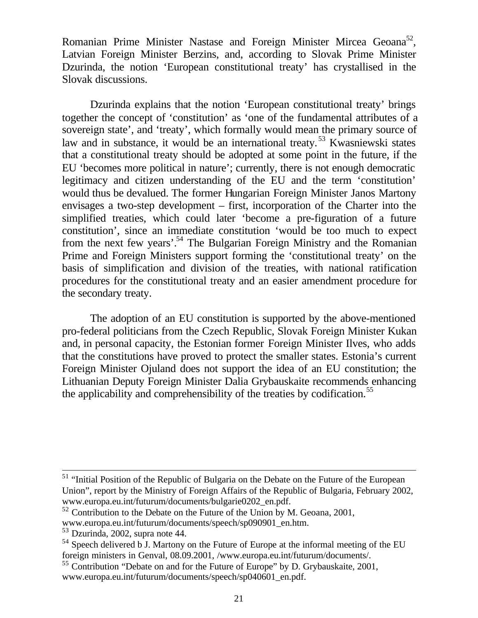Romanian Prime Minister Nastase and Foreign Minister Mircea Geoana<sup>52</sup>, Latvian Foreign Minister Berzins, and, according to Slovak Prime Minister Dzurinda, the notion 'European constitutional treaty' has crystallised in the Slovak discussions.

Dzurinda explains that the notion 'European constitutional treaty' brings together the concept of 'constitution' as 'one of the fundamental attributes of a sovereign state', and 'treaty', which formally would mean the primary source of law and in substance, it would be an international treaty.<sup>53</sup> Kwasniewski states that a constitutional treaty should be adopted at some point in the future, if the EU 'becomes more political in nature'; currently, there is not enough democratic legitimacy and citizen understanding of the EU and the term 'constitution' would thus be devalued. The former Hungarian Foreign Minister Janos Martony envisages a two-step development – first, incorporation of the Charter into the simplified treaties, which could later 'become a pre-figuration of a future constitution', since an immediate constitution 'would be too much to expect from the next few years'.<sup>54</sup> The Bulgarian Foreign Ministry and the Romanian Prime and Foreign Ministers support forming the 'constitutional treaty' on the basis of simplification and division of the treaties, with national ratification procedures for the constitutional treaty and an easier amendment procedure for the secondary treaty.

The adoption of an EU constitution is supported by the above-mentioned pro-federal politicians from the Czech Republic, Slovak Foreign Minister Kukan and, in personal capacity, the Estonian former Foreign Minister Ilves, who adds that the constitutions have proved to protect the smaller states. Estonia's current Foreign Minister Ojuland does not support the idea of an EU constitution; the Lithuanian Deputy Foreign Minister Dalia Grybauskaite recommends enhancing the applicability and comprehensibility of the treaties by codification.<sup>55</sup>

<sup>&</sup>lt;sup>51</sup> "Initial Position of the Republic of Bulgaria on the Debate on the Future of the European Union", report by the Ministry of Foreign Affairs of the Republic of Bulgaria, February 2002, www.europa.eu.int/futurum/documents/bulgarie0202\_en.pdf.

 $52$  Contribution to the Debate on the Future of the Union by M. Geoana, 2001,

www.europa.eu.int/futurum/documents/speech/sp090901\_en.htm.

<sup>53</sup> Dzurinda, 2002, supra note 44.

<sup>&</sup>lt;sup>54</sup> Speech delivered b J. Martony on the Future of Europe at the informal meeting of the EU foreign ministers in Genval, 08.09.2001, /www.europa.eu.int/futurum/documents/.

<sup>55</sup> Contribution "Debate on and for the Future of Europe" by D. Grybauskaite, 2001, www.europa.eu.int/futurum/documents/speech/sp040601\_en.pdf.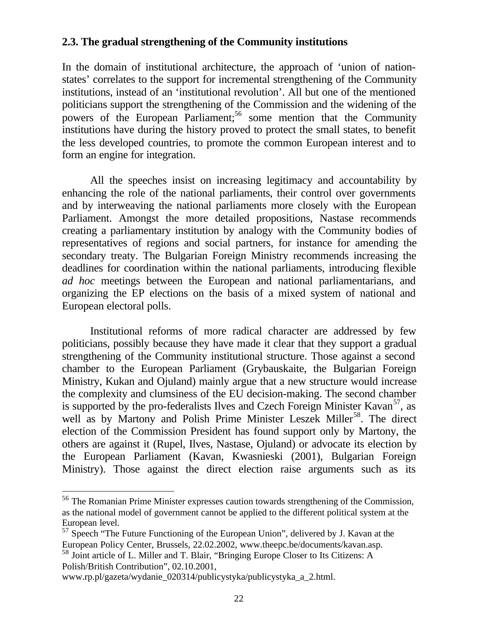## **2.3. The gradual strengthening of the Community institutions**

In the domain of institutional architecture, the approach of 'union of nationstates' correlates to the support for incremental strengthening of the Community institutions, instead of an 'institutional revolution'. All but one of the mentioned politicians support the strengthening of the Commission and the widening of the powers of the European Parliament;<sup>56</sup> some mention that the Community institutions have during the history proved to protect the small states, to benefit the less developed countries, to promote the common European interest and to form an engine for integration.

All the speeches insist on increasing legitimacy and accountability by enhancing the role of the national parliaments, their control over governments and by interweaving the national parliaments more closely with the European Parliament. Amongst the more detailed propositions, Nastase recommends creating a parliamentary institution by analogy with the Community bodies of representatives of regions and social partners, for instance for amending the secondary treaty. The Bulgarian Foreign Ministry recommends increasing the deadlines for coordination within the national parliaments, introducing flexible *ad hoc* meetings between the European and national parliamentarians, and organizing the EP elections on the basis of a mixed system of national and European electoral polls.

Institutional reforms of more radical character are addressed by few politicians, possibly because they have made it clear that they support a gradual strengthening of the Community institutional structure. Those against a second chamber to the European Parliament (Grybauskaite, the Bulgarian Foreign Ministry, Kukan and Ojuland) mainly argue that a new structure would increase the complexity and clumsiness of the EU decision-making. The second chamber is supported by the pro-federalists Ilves and Czech Foreign Minister Kavan<sup>57</sup>, as well as by Martony and Polish Prime Minister Leszek Miller<sup>58</sup>. The direct election of the Commission President has found support only by Martony, the others are against it (Rupel, Ilves, Nastase, Ojuland) or advocate its election by the European Parliament (Kavan, Kwasnieski (2001), Bulgarian Foreign Ministry). Those against the direct election raise arguments such as its

<sup>56</sup> The Romanian Prime Minister expresses caution towards strengthening of the Commission, as the national model of government cannot be applied to the different political system at the European level.

 $57$  Speech "The Future Functioning of the European Union", delivered by J. Kavan at the European Policy Center, Brussels, 22.02.2002, www.theepc.be/documents/kavan.asp.

<sup>58</sup> Joint article of L. Miller and T. Blair, "Bringing Europe Closer to Its Citizens: A Polish/British Contribution", 02.10.2001,

www.rp.pl/gazeta/wydanie\_020314/publicystyka/publicystyka\_a\_2.html.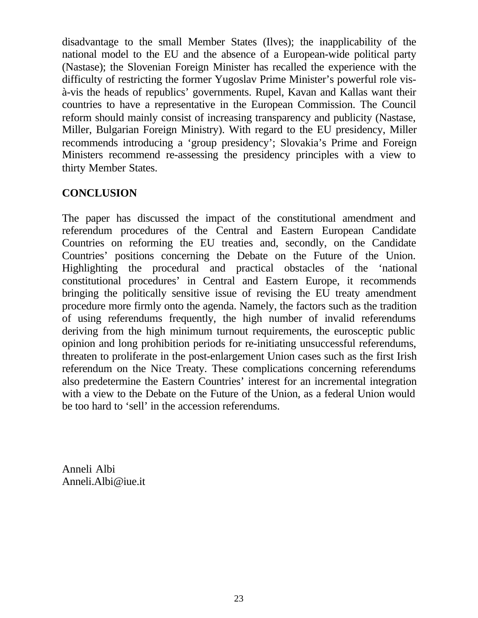disadvantage to the small Member States (Ilves); the inapplicability of the national model to the EU and the absence of a European-wide political party (Nastase); the Slovenian Foreign Minister has recalled the experience with the difficulty of restricting the former Yugoslav Prime Minister's powerful role visà-vis the heads of republics' governments. Rupel, Kavan and Kallas want their countries to have a representative in the European Commission. The Council reform should mainly consist of increasing transparency and publicity (Nastase, Miller, Bulgarian Foreign Ministry). With regard to the EU presidency, Miller recommends introducing a 'group presidency'; Slovakia's Prime and Foreign Ministers recommend re-assessing the presidency principles with a view to thirty Member States.

## **CONCLUSION**

The paper has discussed the impact of the constitutional amendment and referendum procedures of the Central and Eastern European Candidate Countries on reforming the EU treaties and, secondly, on the Candidate Countries' positions concerning the Debate on the Future of the Union. Highlighting the procedural and practical obstacles of the 'national constitutional procedures' in Central and Eastern Europe, it recommends bringing the politically sensitive issue of revising the EU treaty amendment procedure more firmly onto the agenda. Namely, the factors such as the tradition of using referendums frequently, the high number of invalid referendums deriving from the high minimum turnout requirements, the eurosceptic public opinion and long prohibition periods for re-initiating unsuccessful referendums, threaten to proliferate in the post-enlargement Union cases such as the first Irish referendum on the Nice Treaty. These complications concerning referendums also predetermine the Eastern Countries' interest for an incremental integration with a view to the Debate on the Future of the Union, as a federal Union would be too hard to 'sell' in the accession referendums.

Anneli Albi Anneli.Albi@iue.it